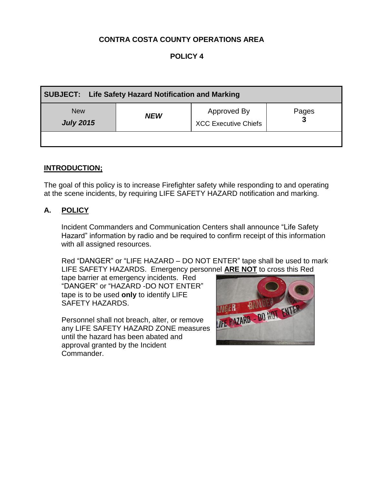# **CONTRA COSTA COUNTY OPERATIONS AREA**

# **POLICY 4**

| SUBJECT: Life Safety Hazard Notification and Marking |            |                                            |       |
|------------------------------------------------------|------------|--------------------------------------------|-------|
| <b>New</b><br><b>July 2015</b>                       | <b>NEW</b> | Approved By<br><b>XCC Executive Chiefs</b> | Pages |
|                                                      |            |                                            |       |

#### **INTRODUCTION;**

The goal of this policy is to increase Firefighter safety while responding to and operating at the scene incidents, by requiring LIFE SAFETY HAZARD notification and marking.

### **A. POLICY**

Incident Commanders and Communication Centers shall announce "Life Safety Hazard" information by radio and be required to confirm receipt of this information with all assigned resources.

Red "DANGER" or "LIFE HAZARD – DO NOT ENTER" tape shall be used to mark LIFE SAFETY HAZARDS. Emergency personnel **ARE NOT** to cross this Red

tape barrier at emergency incidents. Red "DANGER" or "HAZARD -DO NOT ENTER" tape is to be used **only** to identify LIFE SAFETY HAZARDS.

Personnel shall not breach, alter, or remove any LIFE SAFETY HAZARD ZONE measures until the hazard has been abated and approval granted by the Incident Commander.

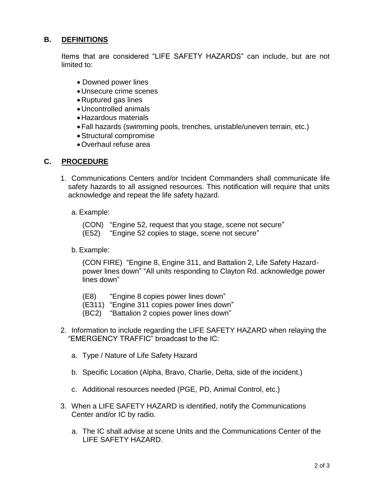# **B. DEFINITIONS**

Items that are considered "LIFE SAFETY HAZARDS" can include, but are not limited to:

- Downed power lines
- Unsecure crime scenes
- Ruptured gas lines
- Uncontrolled animals
- Hazardous materials
- Fall hazards (swimming pools, trenches, unstable/uneven terrain, etc.)
- Structural compromise
- Overhaul refuse area

# **C. PROCEDURE**

- 1. Communications Centers and/or Incident Commanders shall communicate life safety hazards to all assigned resources. This notification will require that units acknowledge and repeat the life safety hazard.
	- a. Example:

(CON) "Engine 52, request that you stage, scene not secure"

- (E52) "Engine 52 copies to stage, scene not secure"
- b. Example:

(CON FIRE) "Engine 8, Engine 311, and Battalion 2, Life Safety Hazardpower lines down" "All units responding to Clayton Rd. acknowledge power lines down"

- (E8) "Engine 8 copies power lines down"
- (E311) "Engine 311 copies power lines down"
- (BC2) "Battalion 2 copies power lines down"
- 2. Information to include regarding the LIFE SAFETY HAZARD when relaying the "EMERGENCY TRAFFIC" broadcast to the IC:
	- a. Type / Nature of Life Safety Hazard
	- b. Specific Location (Alpha, Bravo, Charlie, Delta, side of the incident.)
	- c. Additional resources needed (PGE, PD, Animal Control, etc.)
- 3. When a LIFE SAFETY HAZARD is identified, notify the Communications Center and/or IC by radio.
	- a. The IC shall advise at scene Units and the Communications Center of the LIFE SAFETY HAZARD.